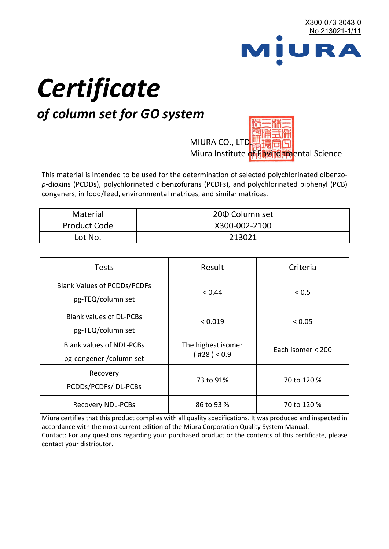

# *Certificate*

## *of column set for GO system*

MIURA CO., LTD. Miura Institute of 正版而解ental Science

This material is intended to be used for the determination of selected polychlorinated dibenzo*p*-dioxins (PCDDs), polychlorinated dibenzofurans (PCDFs), and polychlorinated biphenyl (PCB) congeners, in food/feed, environmental matrices, and similar matrices.

| <b>Material</b>     | 200 Column set |
|---------------------|----------------|
| <b>Product Code</b> | X300-002-2100  |
| Lot No.             | 213021         |

| <b>Tests</b>                                                | Result                            | Criteria          |
|-------------------------------------------------------------|-----------------------------------|-------------------|
| <b>Blank Values of PCDDs/PCDFs</b><br>pg-TEQ/column set     | < 0.44                            | < 0.5             |
| <b>Blank values of DL-PCBs</b><br>pg-TEQ/column set         | < 0.019                           | < 0.05            |
| <b>Blank values of NDL-PCBs</b><br>pg-congener / column set | The highest isomer<br>(428) < 0.9 | Each isomer < 200 |
| Recovery<br>PCDDs/PCDFs/DL-PCBs                             | 73 to 91%                         | 70 to 120 %       |
| <b>Recovery NDL-PCBs</b>                                    | 86 to 93 %                        | 70 to 120 %       |

Miura certifies that this product complies with all quality specifications. It was produced and inspected in accordance with the most current edition of the Miura Corporation Quality System Manual. Contact: For any questions regarding your purchased product or the contents of this certificate, please contact your distributor.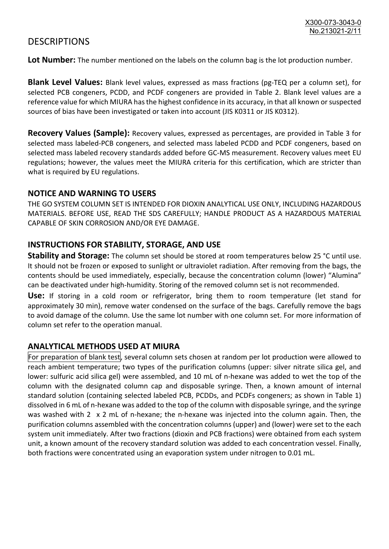### **DESCRIPTIONS**

**Lot Number:** The number mentioned on the labels on the column bag is the lot production number.

**Blank Level Values:** Blank level values, expressed as mass fractions (pg-TEQ per a column set), for selected PCB congeners, PCDD, and PCDF congeners are provided in Table 2. Blank level values are a reference value for which MIURA has the highest confidence in its accuracy, in that all known or suspected sources of bias have been investigated or taken into account (JIS K0311 or JIS K0312).

**Recovery Values (Sample):** Recovery values, expressed as percentages, are provided in Table 3 for selected mass labeled-PCB congeners, and selected mass labeled PCDD and PCDF congeners, based on selected mass labeled recovery standards added before GC-MS measurement. Recovery values meet EU regulations; however, the values meet the MIURA criteria for this certification, which are stricter than what is required by EU regulations.

#### **NOTICE AND WARNING TO USERS**

THE GO SYSTEM COLUMN SET IS INTENDED FOR DIOXIN ANALYTICAL USE ONLY, INCLUDING HAZARDOUS MATERIALS. BEFORE USE, READ THE SDS CAREFULLY; HANDLE PRODUCT AS A HAZARDOUS MATERIAL CAPABLE OF SKIN CORROSION AND/OR EYE DAMAGE.

#### **INSTRUCTIONS FOR STABILITY, STORAGE, AND USE**

**Stability and Storage:** The column set should be stored at room temperatures below 25 °C until use. It should not be frozen or exposed to sunlight or ultraviolet radiation. After removing from the bags, the contents should be used immediately, especially, because the concentration column (lower) "Alumina" can be deactivated under high-humidity. Storing of the removed column set is not recommended.

**Use:** If storing in a cold room or refrigerator, bring them to room temperature (let stand for approximately 30 min), remove water condensed on the surface of the bags. Carefully remove the bags to avoid damage of the column. Use the same lot number with one column set. For more information of column set refer to the operation manual.

#### **ANALYTICAL METHODS USED AT MIURA**

For preparation of blank test, several column sets chosen at random per lot production were allowed to reach ambient temperature; two types of the purification columns (upper: silver nitrate silica gel, and lower: sulfuric acid silica gel) were assembled, and 10 mL of n-hexane was added to wet the top of the column with the designated column cap and disposable syringe. Then, a known amount of internal standard solution (containing selected labeled PCB, PCDDs, and PCDFs congeners; as shown in Table 1) dissolved in 6 mL of n-hexane was added to the top of the column with disposable syringe, and the syringe was washed with 2 x 2 mL of n-hexane; the n-hexane was injected into the column again. Then, the purification columns assembled with the concentration columns (upper) and (lower) were set to the each system unit immediately. After two fractions (dioxin and PCB fractions) were obtained from each system unit, a known amount of the recovery standard solution was added to each concentration vessel. Finally, both fractions were concentrated using an evaporation system under nitrogen to 0.01 mL.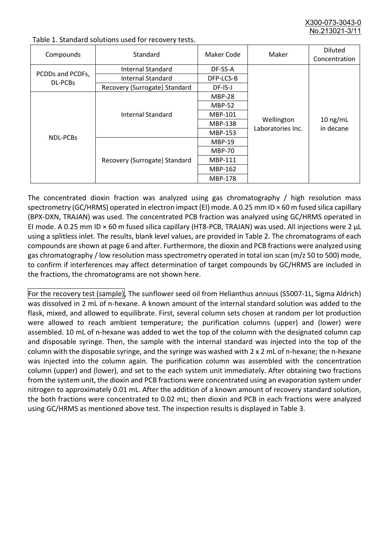X300-073-3043-0 No.213021-3/11

| Compounds                          | Standard                      | Maker Code     | Maker                           | <b>Diluted</b><br>Concentration |
|------------------------------------|-------------------------------|----------------|---------------------------------|---------------------------------|
|                                    | Internal Standard             | DF-SS-A        |                                 |                                 |
| PCDDs and PCDFs,<br><b>DL-PCBs</b> | <b>Internal Standard</b>      | DFP-LCS-B      |                                 |                                 |
|                                    | Recovery (Surrogate) Standard | DF-IS-J        | Wellington<br>Laboratories Inc. | $10$ ng/mL<br>in decane         |
| <b>NDL-PCBs</b>                    | Internal Standard             | <b>MBP-28</b>  |                                 |                                 |
|                                    |                               | <b>MBP-52</b>  |                                 |                                 |
|                                    |                               | MBP-101        |                                 |                                 |
|                                    |                               | <b>MBP-138</b> |                                 |                                 |
|                                    |                               | MBP-153        |                                 |                                 |
|                                    | Recovery (Surrogate) Standard | <b>MBP-19</b>  |                                 |                                 |
|                                    |                               | <b>MBP-70</b>  |                                 |                                 |
|                                    |                               | <b>MBP-111</b> |                                 |                                 |
|                                    |                               | MBP-162        |                                 |                                 |
|                                    |                               | <b>MBP-178</b> |                                 |                                 |

Table 1. Standard solutions used for recovery tests.

The concentrated dioxin fraction was analyzed using gas chromatography / high resolution mass spectrometry (GC/HRMS) operated in electron impact (EI) mode. A 0.25 mm ID × 60 m fused silica capillary (BPX-DXN, TRAJAN) was used. The concentrated PCB fraction was analyzed using GC/HRMS operated in EI mode. A 0.25 mm ID × 60 m fused silica capillary (HT8-PCB, TRAJAN) was used. All injections were 2 μL using a splitless inlet. The results, blank level values, are provided in Table 2. The chromatograms of each compounds are shown at page 6 and after. Furthermore, the dioxin and PCB fractions were analyzed using gas chromatography / low resolution mass spectrometry operated in total ion scan (m/z 50 to 500) mode, to confirm if interferences may affect determination of target compounds by GC/HRMS are included in the fractions, the chromatograms are not shown here.

For the recovery test (sample), The sunflower seed oil from Helianthus annuus (S5007-1L, Sigma Aldrich) was dissolved in 2 mL of n-hexane. A known amount of the internal standard solution was added to the flask, mixed, and allowed to equilibrate. First, several column sets chosen at random per lot production were allowed to reach ambient temperature; the purification columns (upper) and (lower) were assembled. 10 mL of n-hexane was added to wet the top of the column with the designated column cap and disposable syringe. Then, the sample with the internal standard was injected into the top of the column with the disposable syringe, and the syringe was washed with 2 x 2 mL of n-hexane; the n-hexane was injected into the column again. The purification column was assembled with the concentration column (upper) and (lower), and set to the each system unit immediately. After obtaining two fractions from the system unit, the dioxin and PCB fractions were concentrated using an evaporation system under nitrogen to approximately 0.01 mL. After the addition of a known amount of recovery standard solution, the both fractions were concentrated to 0.02 mL; then dioxin and PCB in each fractions were analyzed using GC/HRMS as mentioned above test. The inspection results is displayed in Table 3.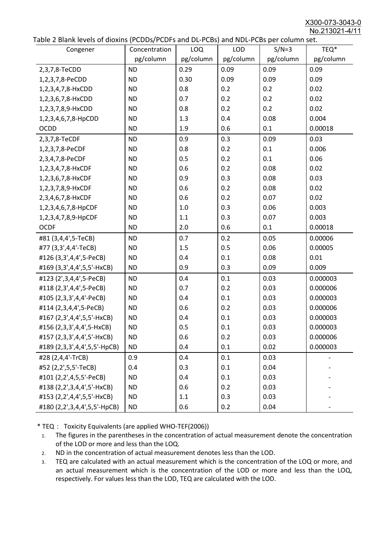X300-073-3043-0 No.213021-4/11

|  | Table 2 Blank levels of dioxins (PCDDs/PCDFs and DL-PCBs) and NDL-PCBs per column set. |
|--|----------------------------------------------------------------------------------------|
|--|----------------------------------------------------------------------------------------|

| able 2 Diarik levels of dioxins (I CDDs) I CDTs and DET CDs) and NDET CDs per column sett.<br>Congener | Concentration | LOQ       | <b>LOD</b> | $S/N=3$   | TEQ*      |
|--------------------------------------------------------------------------------------------------------|---------------|-----------|------------|-----------|-----------|
|                                                                                                        | pg/column     | pg/column | pg/column  | pg/column | pg/column |
| 2,3,7,8-TeCDD                                                                                          | <b>ND</b>     | 0.29      | 0.09       | 0.09      | 0.09      |
| 1,2,3,7,8-PeCDD                                                                                        | <b>ND</b>     | 0.30      | 0.09       | 0.09      | 0.09      |
| 1,2,3,4,7,8-HxCDD                                                                                      | <b>ND</b>     | 0.8       | 0.2        | 0.2       | 0.02      |
| 1,2,3,6,7,8-HxCDD                                                                                      | <b>ND</b>     | 0.7       | 0.2        | 0.2       | 0.02      |
| 1,2,3,7,8,9-HxCDD                                                                                      | <b>ND</b>     | 0.8       | 0.2        | 0.2       | 0.02      |
| 1,2,3,4,6,7,8-HpCDD                                                                                    | <b>ND</b>     | 1.3       | 0.4        | 0.08      | 0.004     |
| <b>OCDD</b>                                                                                            | <b>ND</b>     | 1.9       | 0.6        | 0.1       | 0.00018   |
| 2,3,7,8-TeCDF                                                                                          | <b>ND</b>     | 0.9       | 0.3        | 0.09      | 0.03      |
| 1,2,3,7,8-PeCDF                                                                                        | <b>ND</b>     | 0.8       | 0.2        | 0.1       | 0.006     |
| 2,3,4,7,8-PeCDF                                                                                        | <b>ND</b>     | 0.5       | 0.2        | 0.1       | 0.06      |
| 1,2,3,4,7,8-HxCDF                                                                                      | <b>ND</b>     | 0.6       | 0.2        | 0.08      | 0.02      |
| 1,2,3,6,7,8-HxCDF                                                                                      | <b>ND</b>     | 0.9       | 0.3        | 0.08      | 0.03      |
| 1,2,3,7,8,9-HxCDF                                                                                      | <b>ND</b>     | 0.6       | 0.2        | 0.08      | 0.02      |
| 2,3,4,6,7,8-HxCDF                                                                                      | <b>ND</b>     | 0.6       | 0.2        | 0.07      | 0.02      |
| 1,2,3,4,6,7,8-HpCDF                                                                                    | <b>ND</b>     | 1.0       | 0.3        | 0.06      | 0.003     |
| 1,2,3,4,7,8,9-HpCDF                                                                                    | <b>ND</b>     | 1.1       | 0.3        | 0.07      | 0.003     |
| <b>OCDF</b>                                                                                            | <b>ND</b>     | 2.0       | 0.6        | 0.1       | 0.00018   |
| #81 (3,4,4',5-TeCB)                                                                                    | <b>ND</b>     | 0.7       | 0.2        | 0.05      | 0.00006   |
| #77 (3,3',4,4'-TeCB)                                                                                   | <b>ND</b>     | 1.5       | 0.5        | 0.06      | 0.00005   |
| #126 (3,3',4,4',5-PeCB)                                                                                | <b>ND</b>     | 0.4       | 0.1        | 0.08      | 0.01      |
| #169 (3,3',4,4',5,5'-HxCB)                                                                             | <b>ND</b>     | 0.9       | 0.3        | 0.09      | 0.009     |
| #123 (2',3,4,4',5-PeCB)                                                                                | <b>ND</b>     | 0.4       | 0.1        | 0.03      | 0.000003  |
| #118 (2,3',4,4',5-PeCB)                                                                                | <b>ND</b>     | 0.7       | 0.2        | 0.03      | 0.000006  |
| #105 (2,3,3',4,4'-PeCB)                                                                                | <b>ND</b>     | 0.4       | 0.1        | 0.03      | 0.000003  |
| #114 (2,3,4,4',5-PeCB)                                                                                 | <b>ND</b>     | 0.6       | 0.2        | 0.03      | 0.000006  |
| #167 (2,3',4,4',5,5'-HxCB)                                                                             | <b>ND</b>     | 0.4       | 0.1        | 0.03      | 0.000003  |
| #156 (2,3,3',4,4',5-HxCB)                                                                              | <b>ND</b>     | 0.5       | 0.1        | 0.03      | 0.000003  |
| #157 (2,3,3',4,4',5'-HxCB)                                                                             | <b>ND</b>     | 0.6       | 0.2        | 0.03      | 0.000006  |
| #189 (2,3,3',4,4',5,5'-HpCB)                                                                           | <b>ND</b>     | 0.4       | 0.1        | 0.02      | 0.000003  |
| #28 (2,4,4'-TrCB)                                                                                      | 0.9           | 0.4       | 0.1        | 0.03      |           |
| #52 (2,2',5,5'-TeCB)                                                                                   | 0.4           | 0.3       | 0.1        | 0.04      |           |
| #101 (2,2',4,5,5'-PeCB)                                                                                | <b>ND</b>     | 0.4       | 0.1        | 0.03      |           |
| #138 (2,2',3,4,4',5'-HxCB)                                                                             | <b>ND</b>     | 0.6       | 0.2        | 0.03      |           |
| #153 (2,2',4,4',5,5'-HxCB)                                                                             | <b>ND</b>     | 1.1       | 0.3        | 0.03      |           |
| #180 (2,2',3,4,4',5,5'-HpCB)                                                                           | <b>ND</b>     | 0.6       | 0.2        | 0.04      |           |

\* TEQ: Toxicity Equivalents (are applied WHO-TEF(2006))

- 1. The figures in the parentheses in the concentration of actual measurement denote the concentration of the LOD or more and less than the LOQ.
- 2. ND in the concentration of actual measurement denotes less than the LOD.
- 3. TEQ are calculated with an actual measurement which is the concentration of the LOQ or more, and an actual measurement which is the concentration of the LOD or more and less than the LOQ, respectively. For values less than the LOD, TEQ are calculated with the LOD.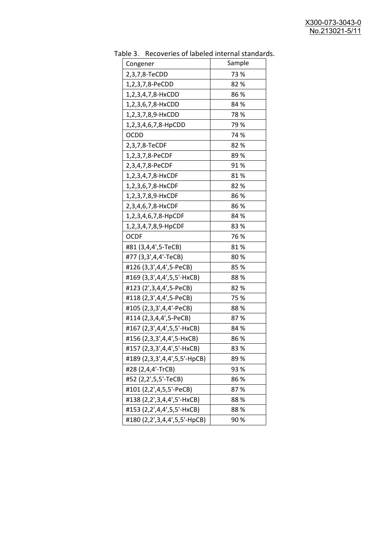| uwic J.<br>Recoveries of fabeled internal standar<br>Congener | Sample |
|---------------------------------------------------------------|--------|
| 2,3,7,8-TeCDD                                                 | 73 %   |
| 1,2,3,7,8-PeCDD                                               | 82%    |
| 1,2,3,4,7,8-HxCDD                                             | 86%    |
| 1,2,3,6,7,8-HxCDD                                             | 84 %   |
|                                                               | 78%    |
| 1,2,3,7,8,9-HxCDD                                             | 79%    |
| 1,2,3,4,6,7,8-HpCDD<br><b>OCDD</b>                            | 74 %   |
|                                                               |        |
| 2,3,7,8-TeCDF                                                 | 82%    |
| 1,2,3,7,8-PeCDF                                               | 89%    |
| 2,3,4,7,8-PeCDF                                               | 91%    |
| 1,2,3,4,7,8-HxCDF                                             | 81%    |
| 1,2,3,6,7,8-HxCDF                                             | 82 %   |
| 1,2,3,7,8,9-HxCDF                                             | 86%    |
| 2,3,4,6,7,8-HxCDF                                             | 86%    |
| 1,2,3,4,6,7,8-HpCDF                                           | 84 %   |
| 1,2,3,4,7,8,9-HpCDF                                           | 83%    |
| <b>OCDF</b>                                                   | 76 %   |
| #81 (3,4,4',5-TeCB)                                           | 81%    |
| #77 (3,3',4,4'-TeCB)                                          | 80%    |
| #126 (3,3',4,4',5-PeCB)                                       | 85%    |
| #169 (3,3',4,4',5,5'-HxCB)                                    | 88%    |
| #123 (2',3,4,4',5-PeCB)                                       | 82 %   |
| #118 (2,3',4,4',5-PeCB)                                       | 75 %   |
| #105 (2,3,3',4,4'-PeCB)                                       | 88%    |
| #114 (2,3,4,4',5-PeCB)                                        | 87%    |
| #167 (2,3',4,4',5,5'-HxCB)                                    | 84 %   |
| #156 (2,3,3',4,4',5-HxCB)                                     | 86%    |
| #157 (2,3,3',4,4',5'-HxCB)                                    | 83%    |
| #189 (2,3,3',4,4',5,5'-HpCB)                                  | 89 %   |
| #28 (2,4,4'-TrCB)                                             | 93 %   |
| #52 (2,2',5,5'-TeCB)                                          | 86 %   |
| #101 (2,2',4,5,5'-PeCB)                                       | 87%    |
| #138 (2,2',3,4,4',5'-HxCB)                                    | 88%    |
| #153 (2,2',4,4',5,5'-HxCB)                                    | 88%    |
| #180 (2,2',3,4,4',5,5'-HpCB)                                  | 90%    |

Table 3. Recoveries of labeled internal standards.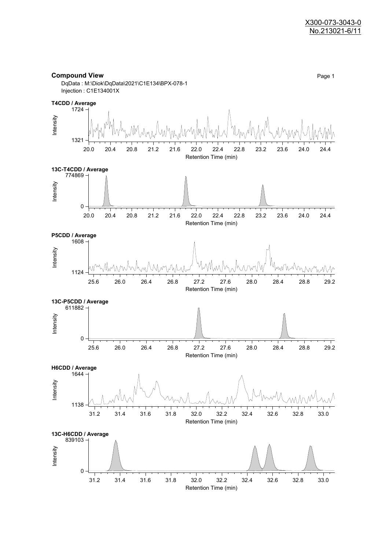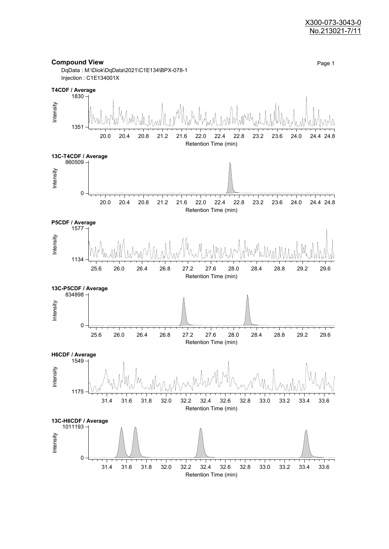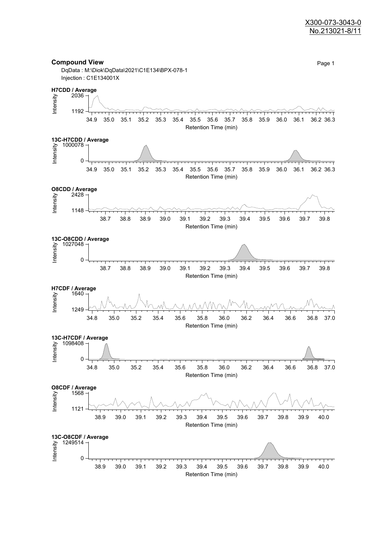#### X300-073-3043-0 No.213021-8/11

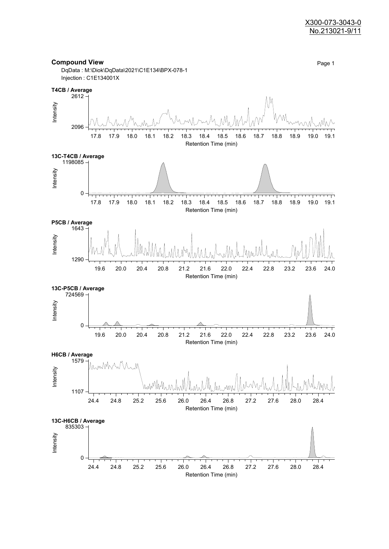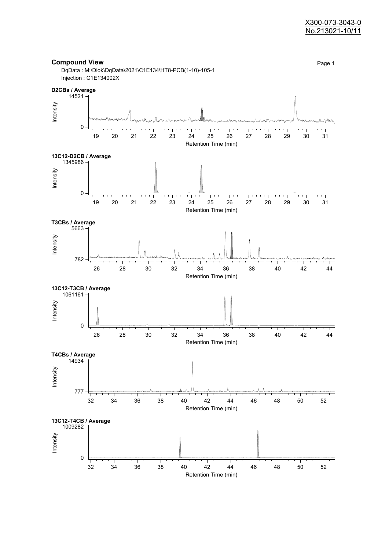